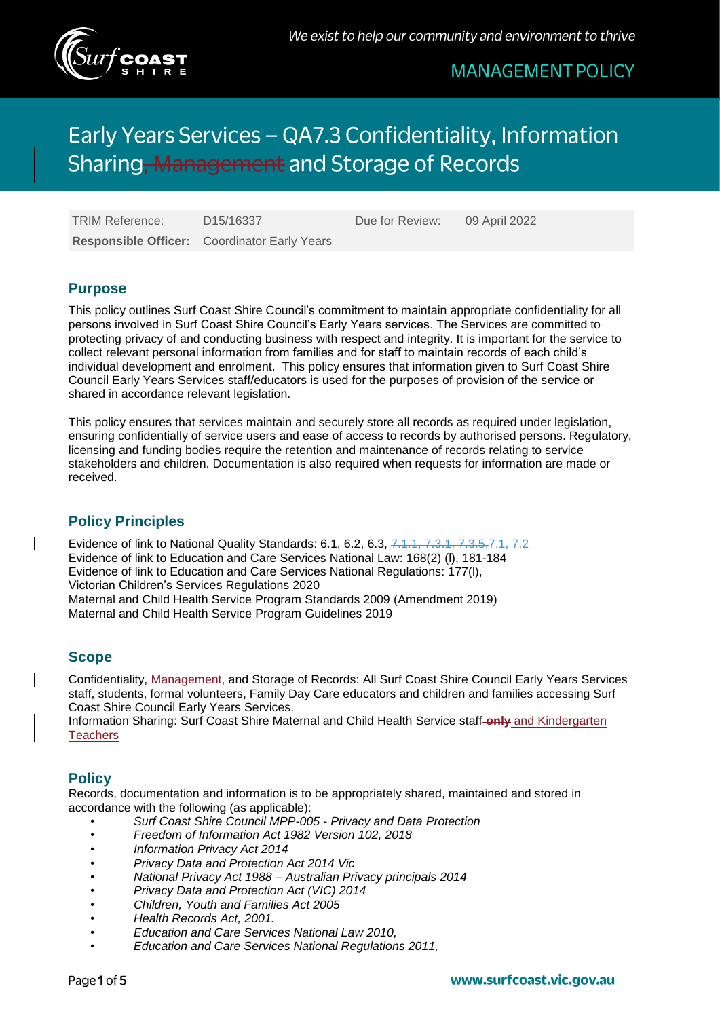

# Early Years Services - QA7.3 Confidentiality, Information Sharing, Management and Storage of Records

**Responsible Officer:** Coordinator Early Years

TRIM Reference: D15/16337 Due for Review: 09 April 2022

### **Purpose**

This policy outlines Surf Coast Shire Council's commitment to maintain appropriate confidentiality for all persons involved in Surf Coast Shire Council's Early Years services. The Services are committed to protecting privacy of and conducting business with respect and integrity. It is important for the service to collect relevant personal information from families and for staff to maintain records of each child's individual development and enrolment. This policy ensures that information given to Surf Coast Shire Council Early Years Services staff/educators is used for the purposes of provision of the service or shared in accordance relevant legislation.

This policy ensures that services maintain and securely store all records as required under legislation, ensuring confidentially of service users and ease of access to records by authorised persons. Regulatory, licensing and funding bodies require the retention and maintenance of records relating to service stakeholders and children. Documentation is also required when requests for information are made or received.

# **Policy Principles**

Evidence of link to National Quality Standards: 6.1, 6.2, 6.3, 7.1.1, 7.3.1, 7.3.5,7.1, 7.2 Evidence of link to Education and Care Services National Law: 168(2) (l), 181-184 Evidence of link to Education and Care Services National Regulations: 177(l), Victorian Children's Services Regulations 2020 Maternal and Child Health Service Program Standards 2009 (Amendment 2019) Maternal and Child Health Service Program Guidelines 2019

# **Scope**

Confidentiality, Management, and Storage of Records: All Surf Coast Shire Council Early Years Services staff, students, formal volunteers, Family Day Care educators and children and families accessing Surf Coast Shire Council Early Years Services.

Information Sharing: Surf Coast Shire Maternal and Child Health Service staff **only** and Kindergarten **Teachers** 

# **Policy**

Records, documentation and information is to be appropriately shared, maintained and stored in accordance with the following (as applicable):

- *Surf Coast Shire Council MPP-005 - Privacy and Data Protection*
- *Freedom of Information Act 1982 Version 102, 2018*
- *Information Privacy Act 2014*
- *Privacy Data and Protection Act 2014 Vic*
- *National Privacy Act 1988 – Australian Privacy principals 2014*
- *Privacy Data and Protection Act (VIC) 2014*
- *Children, Youth and Families Act 2005*
- *Health Records Act, 2001.*
- *Education and Care Services National Law 2010,*
- *Education and Care Services National Regulations 2011,*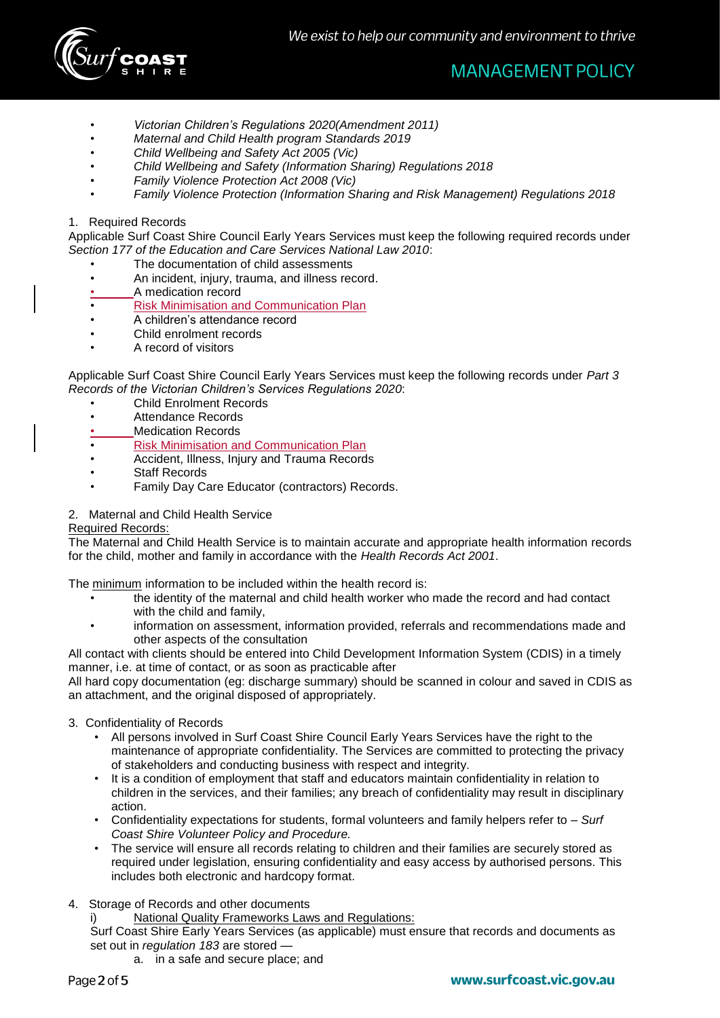

- *Victorian Children's Regulations 2020(Amendment 2011)*
- *Maternal and Child Health program Standards 2019*
- *Child Wellbeing and Safety Act 2005 (Vic)*
- *Child Wellbeing and Safety (Information Sharing) Regulations 2018*
- *Family Violence Protection Act 2008 (Vic)*
- *Family Violence Protection (Information Sharing and Risk Management) Regulations 2018*
- 1. Required Records

Applicable Surf Coast Shire Council Early Years Services must keep the following required records under *Section 177 of the Education and Care Services National Law 2010*:

- The documentation of child assessments
- An incident, injury, trauma, and illness record.
- A medication record
- Risk Minimisation and Communication Plan
- A children's attendance record
- Child enrolment records
- A record of visitors

Applicable Surf Coast Shire Council Early Years Services must keep the following records under *Part 3 Records of the Victorian Children's Services Regulations 2020*:

- Child Enrolment Records
- Attendance Records
- Medication Records
- Risk Minimisation and Communication Plan
- Accident, Illness, Injury and Trauma Records
- **Staff Records**
- Family Day Care Educator (contractors) Records.
- 2. Maternal and Child Health Service

#### Required Records:

The Maternal and Child Health Service is to maintain accurate and appropriate health information records for the child, mother and family in accordance with the *Health Records Act 2001*.

The minimum information to be included within the health record is:

- the identity of the maternal and child health worker who made the record and had contact with the child and family,
- information on assessment, information provided, referrals and recommendations made and other aspects of the consultation

All contact with clients should be entered into Child Development Information System (CDIS) in a timely manner, i.e. at time of contact, or as soon as practicable after

All hard copy documentation (eg: discharge summary) should be scanned in colour and saved in CDIS as an attachment, and the original disposed of appropriately.

#### 3. Confidentiality of Records

- All persons involved in Surf Coast Shire Council Early Years Services have the right to the maintenance of appropriate confidentiality. The Services are committed to protecting the privacy of stakeholders and conducting business with respect and integrity.
- It is a condition of employment that staff and educators maintain confidentiality in relation to children in the services, and their families; any breach of confidentiality may result in disciplinary action.
- Confidentiality expectations for students, formal volunteers and family helpers refer to *Surf Coast Shire Volunteer Policy and Procedure.*
- The service will ensure all records relating to children and their families are securely stored as required under legislation, ensuring confidentiality and easy access by authorised persons. This includes both electronic and hardcopy format.

#### 4. Storage of Records and other documents

i) National Quality Frameworks Laws and Regulations:

Surf Coast Shire Early Years Services (as applicable) must ensure that records and documents as set out in *regulation 183* are stored —

a. in a safe and secure place; and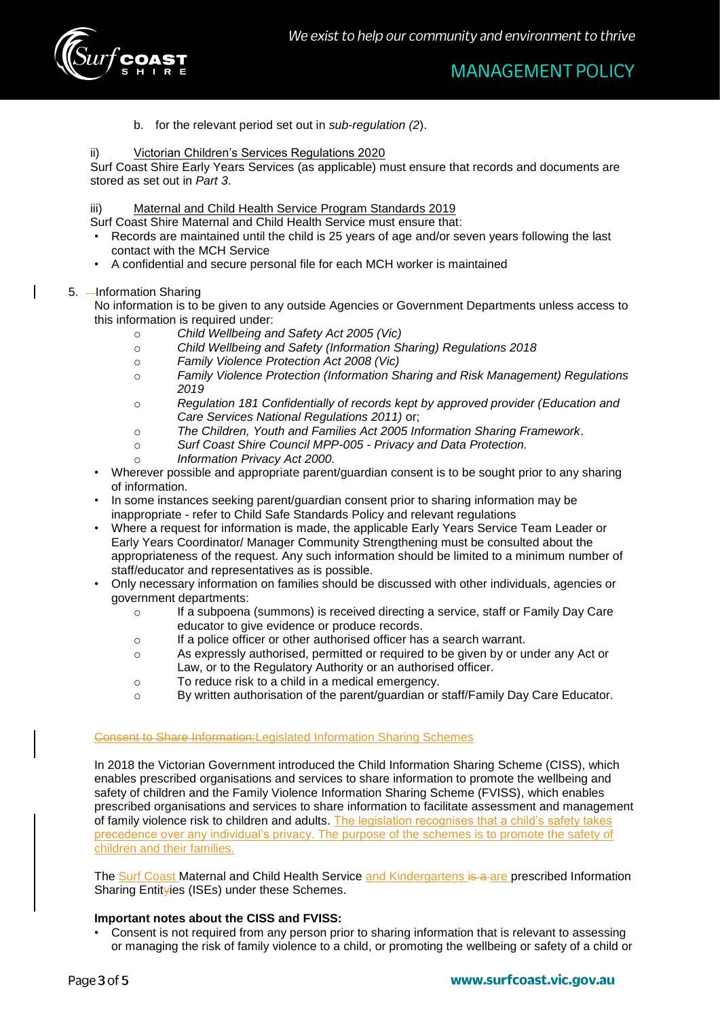

- **MANAGEMENT POLICY**
- b. for the relevant period set out in *sub-regulation (2*).

#### ii) Victorian Children's Services Regulations 2020

Surf Coast Shire Early Years Services (as applicable) must ensure that records and documents are stored as set out in *Part 3*.

#### iii) Maternal and Child Health Service Program Standards 2019

Surf Coast Shire Maternal and Child Health Service must ensure that:

- Records are maintained until the child is 25 years of age and/or seven years following the last contact with the MCH Service
- A confidential and secure personal file for each MCH worker is maintained

#### 5. - Information Sharing

No information is to be given to any outside Agencies or Government Departments unless access to this information is required under:

- o *Child Wellbeing and Safety Act 2005 (Vic)*
- o *Child Wellbeing and Safety (Information Sharing) Regulations 2018*
- o *Family Violence Protection Act 2008 (Vic)*
- o *Family Violence Protection (Information Sharing and Risk Management) Regulations 2019*
- o *Regulation 181 Confidentially of records kept by approved provider (Education and Care Services National Regulations 2011)* or;
- o *The Children, Youth and Families Act 2005 Information Sharing Framework*.
- o *Surf Coast Shire Council MPP-005 - Privacy and Data Protection.*
- o *Information Privacy Act 2000.*
- Wherever possible and appropriate parent/guardian consent is to be sought prior to any sharing of information.
- In some instances seeking parent/guardian consent prior to sharing information may be inappropriate - refer to Child Safe Standards Policy and relevant regulations
- Where a request for information is made, the applicable Early Years Service Team Leader or Early Years Coordinator/ Manager Community Strengthening must be consulted about the appropriateness of the request. Any such information should be limited to a minimum number of staff/educator and representatives as is possible.
- Only necessary information on families should be discussed with other individuals, agencies or government departments:
	- $\circ$  If a subpoena (summons) is received directing a service, staff or Family Day Care educator to give evidence or produce records.
	- o If a police officer or other authorised officer has a search warrant.
	- o As expressly authorised, permitted or required to be given by or under any Act or Law, or to the Regulatory Authority or an authorised officer.
	- o To reduce risk to a child in a medical emergency.
	- o By written authorisation of the parent/guardian or staff/Family Day Care Educator.

#### Consent to Share Information:Legislated Information Sharing Schemes

In 2018 the Victorian Government introduced the Child Information Sharing Scheme (CISS), which enables prescribed organisations and services to share information to promote the wellbeing and safety of children and the Family Violence Information Sharing Scheme (FVISS), which enables prescribed organisations and services to share information to facilitate assessment and management of family violence risk to children and adults. The legislation recognises that a child's safety takes precedence over any individual's privacy. The purpose of the schemes is to promote the safety of children and their families.

The Surf Coast Maternal and Child Health Service and Kindergartens is a are prescribed Information Sharing Entityies (ISEs) under these Schemes.

#### **Important notes about the CISS and FVISS:**

• Consent is not required from any person prior to sharing information that is relevant to assessing or managing the risk of family violence to a child, or promoting the wellbeing or safety of a child or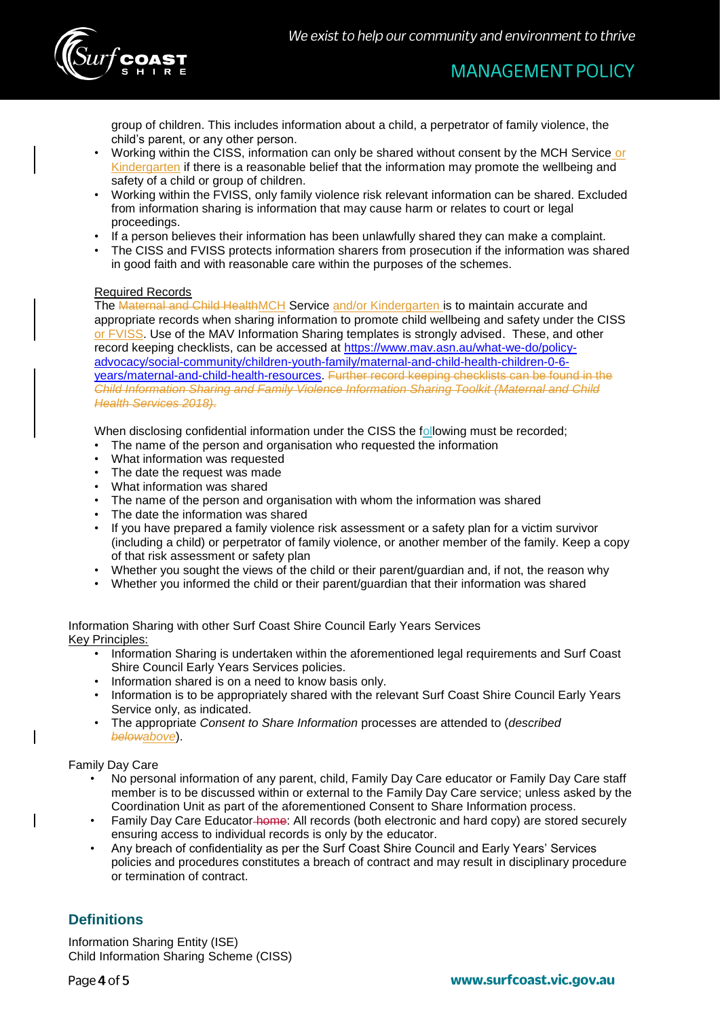

group of children. This includes information about a child, a perpetrator of family violence, the child's parent, or any other person.

- Working within the CISS, information can only be shared without consent by the MCH Service or Kindergarten if there is a reasonable belief that the information may promote the wellbeing and safety of a child or group of children.
- Working within the FVISS, only family violence risk relevant information can be shared. Excluded from information sharing is information that may cause harm or relates to court or legal proceedings.
- If a person believes their information has been unlawfully shared they can make a complaint.
- The CISS and FVISS protects information sharers from prosecution if the information was shared in good faith and with reasonable care within the purposes of the schemes.

#### Required Records

The Maternal and Child HealthMCH Service and/or Kindergarten is to maintain accurate and appropriate records when sharing information to promote child wellbeing and safety under the CISS or FVISS. Use of the MAV Information Sharing templates is strongly advised. These, and other record keeping checklists, can be accessed at [https://www.mav.asn.au/what-we-do/policy](https://www.mav.asn.au/what-we-do/policy-advocacy/social-community/children-youth-family/maternal-and-child-health-children-0-6-years/maternal-and-child-health-resources)[advocacy/social-community/children-youth-family/maternal-and-child-health-children-0-6](https://www.mav.asn.au/what-we-do/policy-advocacy/social-community/children-youth-family/maternal-and-child-health-children-0-6-years/maternal-and-child-health-resources) [years/maternal-and-child-health-resources.](https://www.mav.asn.au/what-we-do/policy-advocacy/social-community/children-youth-family/maternal-and-child-health-children-0-6-years/maternal-and-child-health-resources) Further record keeping checklists can be found in the *Child Information Sharing and Family Violence Information Sharing Toolkit (Maternal and Child Health Services 2018)*.

When disclosing confidential information under the CISS the following must be recorded;

- The name of the person and organisation who requested the information
- What information was requested
- The date the request was made
- What information was shared
- The name of the person and organisation with whom the information was shared
- The date the information was shared
- If you have prepared a family violence risk assessment or a safety plan for a victim survivor (including a child) or perpetrator of family violence, or another member of the family. Keep a copy of that risk assessment or safety plan
- Whether you sought the views of the child or their parent/guardian and, if not, the reason why
- Whether you informed the child or their parent/guardian that their information was shared

Information Sharing with other Surf Coast Shire Council Early Years Services Key Principles:

- Information Sharing is undertaken within the aforementioned legal requirements and Surf Coast Shire Council Early Years Services policies.
- Information shared is on a need to know basis only.
- Information is to be appropriately shared with the relevant Surf Coast Shire Council Early Years Service only, as indicated.
- The appropriate *Consent to Share Information* processes are attended to (*described belowabove*).

Family Day Care

- No personal information of any parent, child, Family Day Care educator or Family Day Care staff member is to be discussed within or external to the Family Day Care service; unless asked by the Coordination Unit as part of the aforementioned Consent to Share Information process.
- Family Day Care Educator-home: All records (both electronic and hard copy) are stored securely ensuring access to individual records is only by the educator.
- Any breach of confidentiality as per the Surf Coast Shire Council and Early Years' Services policies and procedures constitutes a breach of contract and may result in disciplinary procedure or termination of contract.

# **Definitions**

Information Sharing Entity (ISE) Child Information Sharing Scheme (CISS)